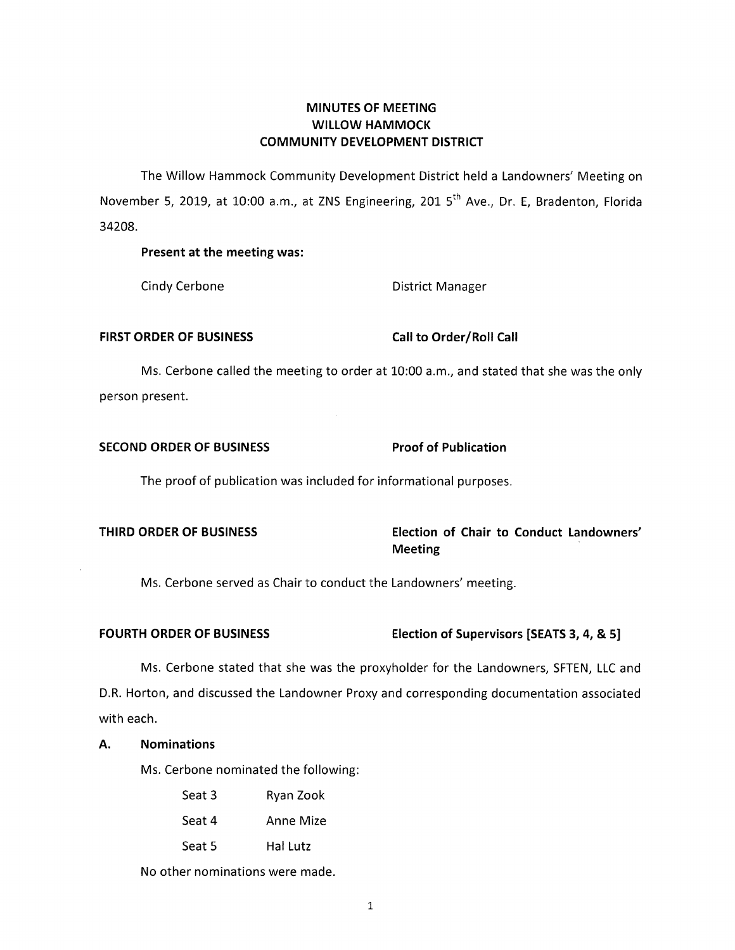# **MINUTES OF MEETING WILLOW HAMMOCK COMMUNITY DEVELOPMENT DISTRICT**

The Willow Hammock Community Development District held a Landowners' Meeting on November 5, 2019, at 10:00 a.m., at ZNS Engineering, 201 5<sup>th</sup> Ave., Dr. E, Bradenton, Florida 34208.

# **Present at the meeting was:**

Cindy Cerbone **District Manager** 

## FIRST ORDER OF BUSINESS Call to Order/Roll Call

Ms. Cerbone called the meeting to order at 10:00 a.m., and stated that she was the only person present.

# **SECOND ORDER OF BUSINESS Proof of Publication**

The proof of publication was included for informational purposes.

# **THIRD ORDER OF BUSINESS Election of Chair to Conduct Landowners' Meeting**

Ms. Cerbone served as Chair to conduct the Landowners' meeting.

# **FOURTH ORDER OF BUSINESS Election of Supervisors [SEATS 3, 4, & 5]**

Ms. Cerbone stated that she was the proxyholder for the Landowners, SFTEN, LLC and D.R. Horton, and discussed the Landowner Proxy and corresponding documentation associated with each.

# **A. Nominations**

Ms. Cerbone nominated the following:

Seat 3 Ryan Zook Seat 4 Anne Mize Seat 5 Hal Lutz

No other nominations were made.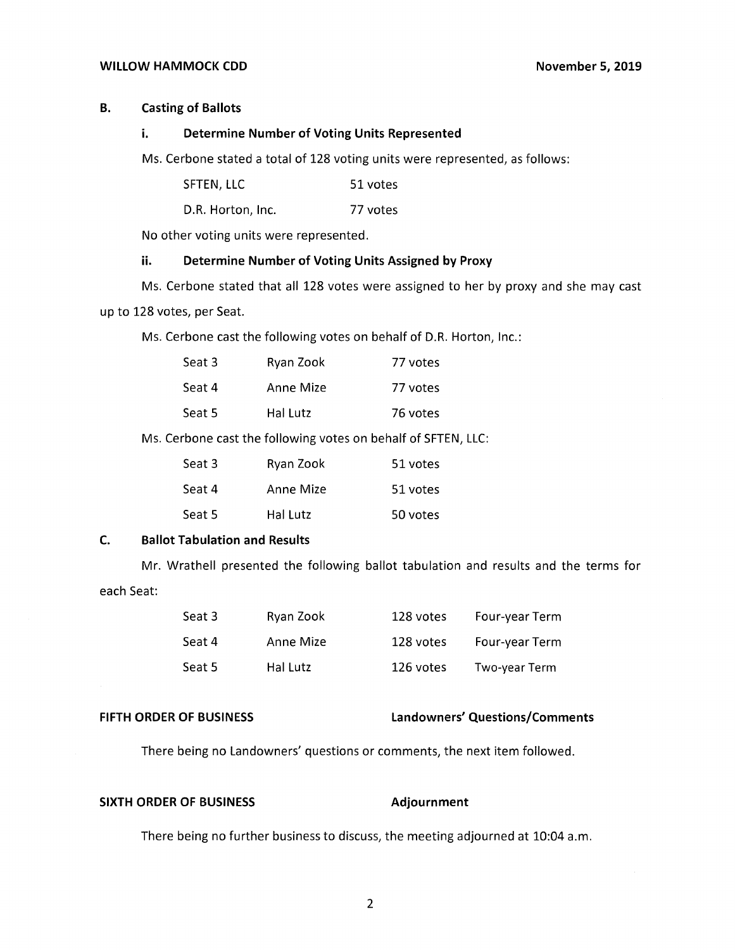#### WILLOW HAMMOCK CDD November 5, 2019

# **B. Casting of Ballots**

#### **i. Determine Number of Voting Units Represented**

Ms. Cerbone stated a total of 128 voting units were represented, as follows:

| SFTEN, LLC | 51 votes |
|------------|----------|
|------------|----------|

D.R. Horton, Inc. 77 votes

No other voting units were represented.

## **ii. Determine Number of Voting Units Assigned by Proxy**

Ms. Cerbone stated that all 128 votes were assigned to her by proxy and she may cast up to 128 votes, per Seat.

Ms. Cerbone cast the following votes on behalf of D.R. Horton, Inc.:

| Seat 3 | Ryan Zook | 77 votes |
|--------|-----------|----------|
| Seat 4 | Anne Mize | 77 votes |
| Seat 5 | Hal Lutz  | 76 votes |

Ms. Cerbone cast the following votes on behalf of SFTEN, LLC:

| Seat 3 | Ryan Zook | 51 votes |
|--------|-----------|----------|
| Seat 4 | Anne Mize | 51 votes |
| Seat 5 | Hal Lutz  | 50 votes |

# **C. Ballot Tabulation and Results**

Mr. Wrathell presented the following ballot tabulation and results and the terms for each Seat:

| Seat 3 | Ryan Zook | 128 votes | Four-year Term |
|--------|-----------|-----------|----------------|
| Seat 4 | Anne Mize | 128 votes | Four-year Term |
| Seat 5 | Hal Lutz  | 126 votes | Two-year Term  |

## **FIFTH ORDER OF BUSINESS Landowners' Questions/Comments**

There being no Landowners' questions or comments, the next item followed.

#### **SIXTH ORDER OF BUSINESS Adjournment**

There being no further business to discuss, the meeting adjourned at 10:04 a.m.